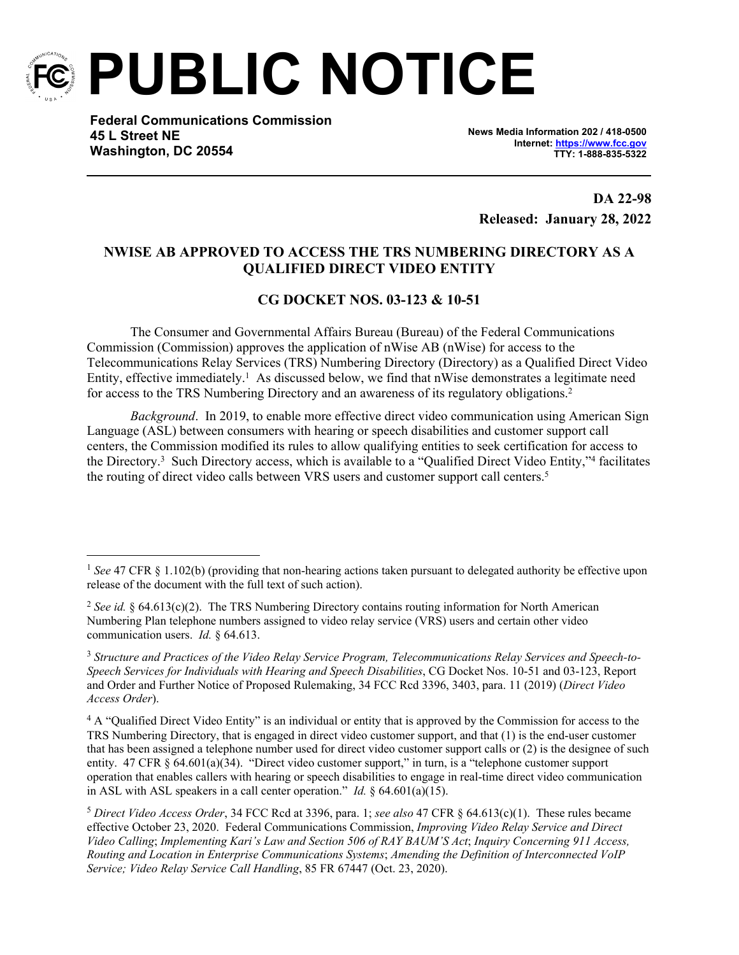

**PUBLIC NOTICE**

**Federal Communications Commission 45 L Street NE Washington, DC 20554**

**News Media Information 202 / 418-0500 Internet:<https://www.fcc.gov> TTY: 1-888-835-5322**

**DA 22-98 Released: January 28, 2022**

## **NWISE AB APPROVED TO ACCESS THE TRS NUMBERING DIRECTORY AS A QUALIFIED DIRECT VIDEO ENTITY**

## **CG DOCKET NOS. 03-123 & 10-51**

The Consumer and Governmental Affairs Bureau (Bureau) of the Federal Communications Commission (Commission) approves the application of nWise AB (nWise) for access to the Telecommunications Relay Services (TRS) Numbering Directory (Directory) as a Qualified Direct Video Entity, effective immediately.<sup>1</sup> As discussed below, we find that nWise demonstrates a legitimate need for access to the TRS Numbering Directory and an awareness of its regulatory obligations.<sup>2</sup>

*Background*. In 2019, to enable more effective direct video communication using American Sign Language (ASL) between consumers with hearing or speech disabilities and customer support call centers, the Commission modified its rules to allow qualifying entities to seek certification for access to the Directory.<sup>3</sup> Such Directory access, which is available to a "Qualified Direct Video Entity,"<sup>4</sup> facilitates the routing of direct video calls between VRS users and customer support call centers.<sup>5</sup>

<sup>1</sup> *See* 47 CFR § 1.102(b) (providing that non-hearing actions taken pursuant to delegated authority be effective upon release of the document with the full text of such action).

<sup>2</sup> *See id.* § 64.613(c)(2). The TRS Numbering Directory contains routing information for North American Numbering Plan telephone numbers assigned to video relay service (VRS) users and certain other video communication users. *Id.* § 64.613.

<sup>3</sup> *Structure and Practices of the Video Relay Service Program, Telecommunications Relay Services and Speech-to-Speech Services for Individuals with Hearing and Speech Disabilities*, CG Docket Nos. 10-51 and 03-123, Report and Order and Further Notice of Proposed Rulemaking, 34 FCC Rcd 3396, 3403, para. 11 (2019) (*Direct Video Access Order*).

<sup>&</sup>lt;sup>4</sup> A "Qualified Direct Video Entity" is an individual or entity that is approved by the Commission for access to the TRS Numbering Directory, that is engaged in direct video customer support, and that (1) is the end-user customer that has been assigned a telephone number used for direct video customer support calls or (2) is the designee of such entity. 47 CFR § 64.601(a)(34). "Direct video customer support," in turn, is a "telephone customer support operation that enables callers with hearing or speech disabilities to engage in real-time direct video communication in ASL with ASL speakers in a call center operation." *Id.* § 64.601(a)(15).

<sup>5</sup> *Direct Video Access Order*, 34 FCC Rcd at 3396, para. 1; *see also* 47 CFR § 64.613(c)(1). These rules became effective October 23, 2020. Federal Communications Commission, *Improving Video Relay Service and Direct Video Calling*; *Implementing Kari's Law and Section 506 of RAY BAUM'S Act*; *Inquiry Concerning 911 Access, Routing and Location in Enterprise Communications Systems*; *Amending the Definition of Interconnected VoIP Service; Video Relay Service Call Handling*, 85 FR 67447 (Oct. 23, 2020).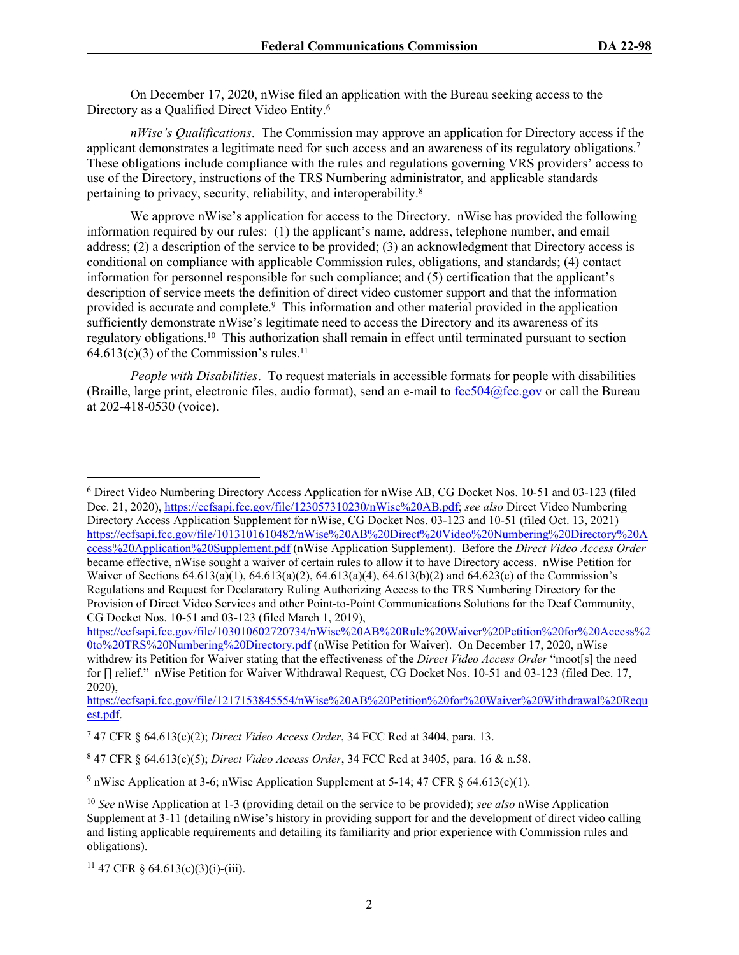On December 17, 2020, nWise filed an application with the Bureau seeking access to the Directory as a Qualified Direct Video Entity.<sup>6</sup>

*nWise's Qualifications*. The Commission may approve an application for Directory access if the applicant demonstrates a legitimate need for such access and an awareness of its regulatory obligations.<sup>7</sup> These obligations include compliance with the rules and regulations governing VRS providers' access to use of the Directory, instructions of the TRS Numbering administrator, and applicable standards pertaining to privacy, security, reliability, and interoperability.<sup>8</sup>

We approve nWise's application for access to the Directory. nWise has provided the following information required by our rules: (1) the applicant's name, address, telephone number, and email address; (2) a description of the service to be provided; (3) an acknowledgment that Directory access is conditional on compliance with applicable Commission rules, obligations, and standards; (4) contact information for personnel responsible for such compliance; and (5) certification that the applicant's description of service meets the definition of direct video customer support and that the information provided is accurate and complete.<sup>9</sup> This information and other material provided in the application sufficiently demonstrate nWise's legitimate need to access the Directory and its awareness of its regulatory obligations.<sup>10</sup> This authorization shall remain in effect until terminated pursuant to section  $64.613(c)(3)$  of the Commission's rules.<sup>11</sup>

*People with Disabilities*. To request materials in accessible formats for people with disabilities (Braille, large print, electronic files, audio format), send an e-mail to  $fcc504@$  fcc.gov or call the Bureau at 202-418-0530 (voice).

[https://ecfsapi.fcc.gov/file/103010602720734/nWise%20AB%20Rule%20Waiver%20Petition%20for%20Access%2](https://ecfsapi.fcc.gov/file/103010602720734/nWise%20AB%20Rule%20Waiver%20Petition%20for%20Access%20to%20TRS%20Numbering%20Directory.pdf) [0to%20TRS%20Numbering%20Directory.pdf](https://ecfsapi.fcc.gov/file/103010602720734/nWise%20AB%20Rule%20Waiver%20Petition%20for%20Access%20to%20TRS%20Numbering%20Directory.pdf) (nWise Petition for Waiver). On December 17, 2020, nWise withdrew its Petition for Waiver stating that the effectiveness of the *Direct Video Access Order* "moot[s] the need for [] relief." nWise Petition for Waiver Withdrawal Request, CG Docket Nos. 10-51 and 03-123 (filed Dec. 17, 2020),

[https://ecfsapi.fcc.gov/file/1217153845554/nWise%20AB%20Petition%20for%20Waiver%20Withdrawal%20Requ](https://ecfsapi.fcc.gov/file/1217153845554/nWise%20AB%20Petition%20for%20Waiver%20Withdrawal%20Request.pdf) [est.pdf.](https://ecfsapi.fcc.gov/file/1217153845554/nWise%20AB%20Petition%20for%20Waiver%20Withdrawal%20Request.pdf)

<sup>&</sup>lt;sup>6</sup> Direct Video Numbering Directory Access Application for nWise AB, CG Docket Nos. 10-51 and 03-123 (filed Dec. 21, 2020), [https://ecfsapi.fcc.gov/file/123057310230/nWise%20AB.pdf;](https://ecfsapi.fcc.gov/file/123057310230/nWise%20AB.pdf) *see also* Direct Video Numbering Directory Access Application Supplement for nWise, CG Docket Nos. 03-123 and 10-51 (filed Oct. 13, 2021) [https://ecfsapi.fcc.gov/file/1013101610482/nWise%20AB%20Direct%20Video%20Numbering%20Directory%20A](https://ecfsapi.fcc.gov/file/1013101610482/nWise%20AB%20Direct%20Video%20Numbering%20Directory%20Access%20Application%20Supplement.pdf) [ccess%20Application%20Supplement.pdf](https://ecfsapi.fcc.gov/file/1013101610482/nWise%20AB%20Direct%20Video%20Numbering%20Directory%20Access%20Application%20Supplement.pdf) (nWise Application Supplement). Before the *Direct Video Access Order* became effective, nWise sought a waiver of certain rules to allow it to have Directory access. nWise Petition for Waiver of Sections 64.613(a)(1), 64.613(a)(2), 64.613(a)(4), 64.613(b)(2) and 64.623(c) of the Commission's Regulations and Request for Declaratory Ruling Authorizing Access to the TRS Numbering Directory for the Provision of Direct Video Services and other Point-to-Point Communications Solutions for the Deaf Community, CG Docket Nos. 10-51 and 03-123 (filed March 1, 2019),

<sup>7</sup> 47 CFR § 64.613(c)(2); *Direct Video Access Order*, 34 FCC Rcd at 3404, para. 13.

<sup>8</sup> 47 CFR § 64.613(c)(5); *Direct Video Access Order*, 34 FCC Rcd at 3405, para. 16 & n.58.

<sup>&</sup>lt;sup>9</sup> nWise Application at 3-6; nWise Application Supplement at 5-14; 47 CFR § 64.613(c)(1).

<sup>10</sup> *See* nWise Application at 1-3 (providing detail on the service to be provided); *see also* nWise Application Supplement at 3-11 (detailing nWise's history in providing support for and the development of direct video calling and listing applicable requirements and detailing its familiarity and prior experience with Commission rules and obligations).

<sup>&</sup>lt;sup>11</sup> 47 CFR § 64.613(c)(3)(i)-(iii).